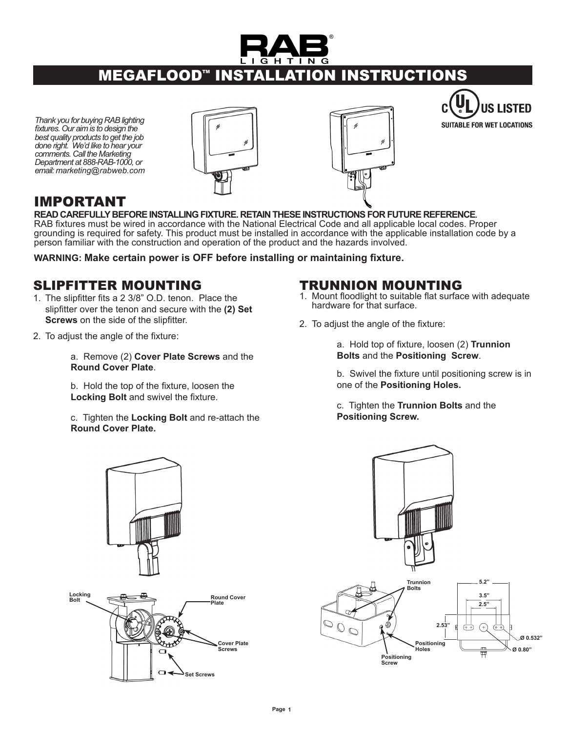

# **MEGAFLOOD<sup>®</sup> INSTALLATION INSTRUCTIONS**

*Thank you for buying RAB lighting fixtures. Our aim is to design the best quality products to get the job done right. We'd like to hear your comments. Call the Marketing Department at 888-RAB-1000, or email: marketing@rabweb.com*







# IMPORTANT<br>READ CAREFULLY BEFORE INSTALLING FIXTURE. RETAIN THESE INSTRUCTIONS FOR FUTURE REFERENCE.

RAB fixtures must be wired in accordance with the National Electrical Code and all applicable local codes. Proper grounding is required for safety. This product must be installed in accordance with the applicable installation code by a person familiar with the construction and operation of the product and the hazards involved.

**WARNING: Make certain power is OFF before installing or maintaining fixture.**

## slipfitter Mounting

- 1. The slipfitter fits a 2 3/8" O.D. tenon. Place the slipfitter over the tenon and secure with the **(2) Set Screws** on the side of the slipfitter.
- 2. To adjust the angle of the fixture:

a. Remove (2) **Cover Plate Screws** and the **Round Cover Plate**.

b. Hold the top of the fixture, loosen the **Locking Bolt** and swivel the fixture.

c. Tighten the **Locking Bolt** and re-attach the **Round Cover Plate.**

#### TRUNNION MOUNTING

- Mount floodlight to suitable flat surface with adequate 1. hardware for that surface.
- 2. To adjust the angle of the fixture:

a. Hold top of fixture, loosen (2) **Trunnion Bolts** and the **Positioning Screw**.

b. Swivel the fixture until positioning screw is in one of the **Positioning Holes.**

c. Tighten the **Trunnion Bolts** and the **Positioning Screw.**



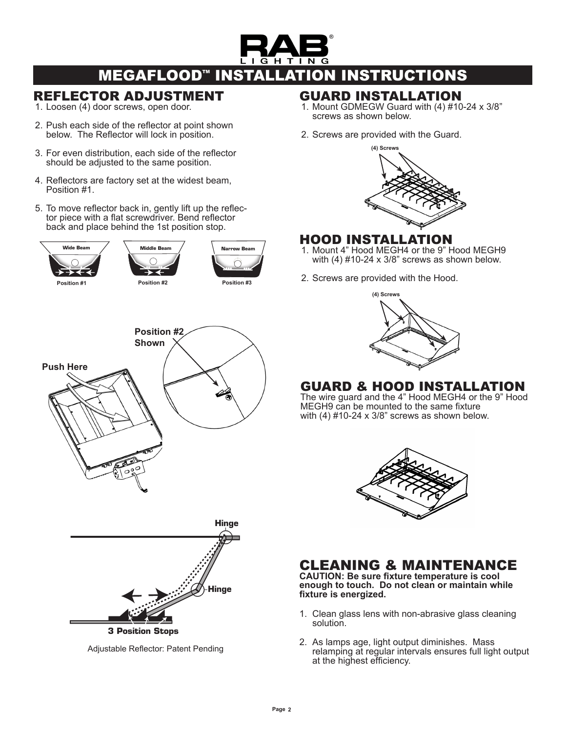

# **MEGAFLOOD<sup>™</sup> INSTALLATION INSTRUCTIONS**

### Reflector Adjustment

- 1. Loosen (4) door screws, open door.
- 2. Push each side of the reflector at point shown below. The Reflector will lock in position.
- For even distribution, each side of the reflector 3. **Hinge**  should be adjusted to the same position.
- 4. Reflectors are factory set at the widest beam, Position #1.
- 5. To move reflector back in, gently lift up the reflector piece with a flat screwdriver. Bend reflector back and place behind the 1st position stop. **3 Position Stops**







Adjustable Reflector: Patent Pending

#### Guard Installation

- 1. Mount GDMEGW Guard with  $(4)$  #10-24 x 3/8" screws as shown below.
- 2. Screws are provided with the Guard.



# Hood Installation

- **Narrow Beam \_/ heseer Account 4" Hood MEGH4 or the 9" Hood MEGH9** with (4) #10-24 x 3/8" screws as shown below.
	- 2. Screws are provided with the Hood.



## Guard & Hood Installation

The wire guard and the 4" Hood MEGH4 or the 9" Hood MEGH9 can be mounted to the same fixture with (4) #10-24 x 3/8" screws as shown below.



# CLEANING & MAINTENANCE

**CAUTION: Be sure fixture temperature is cool enough to touch. Do not clean or maintain while fixture is energized.**

- Clean glass lens with non-abrasive glass cleaning 1. solution.
- 2. As lamps age, light output diminishes. Mass relamping at regular intervals ensures full light output at the highest efficiency.